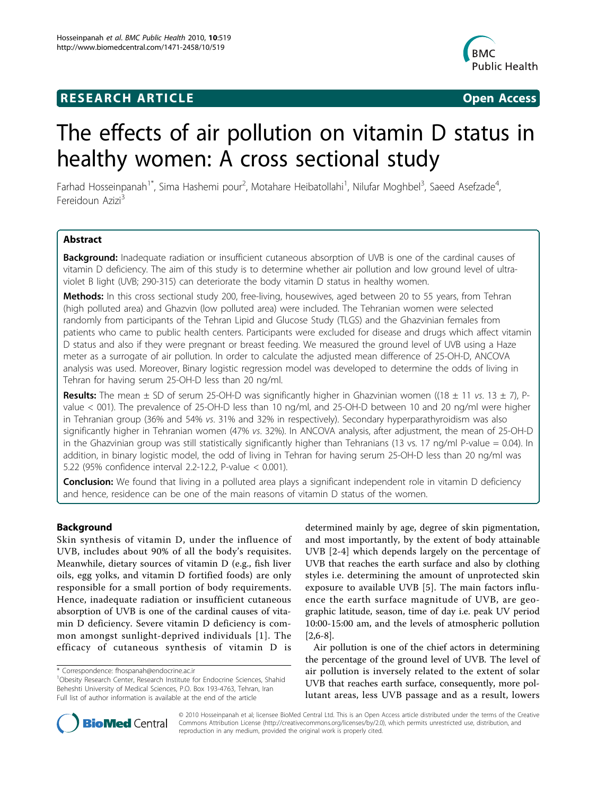# **RESEARCH ARTICLE Example 2018 CONSIDERING ACCESS**



# The effects of air pollution on vitamin D status in healthy women: A cross sectional study

Farhad Hosseinpanah<sup>1\*</sup>, Sima Hashemi pour<sup>2</sup>, Motahare Heibatollahi<sup>1</sup>, Nilufar Moghbel<sup>3</sup>, Saeed Asefzade<sup>4</sup> , Fereidoun Azizi<sup>3</sup>

# Abstract

**Background:** Inadequate radiation or insufficient cutaneous absorption of UVB is one of the cardinal causes of vitamin D deficiency. The aim of this study is to determine whether air pollution and low ground level of ultraviolet B light (UVB; 290-315) can deteriorate the body vitamin D status in healthy women.

Methods: In this cross sectional study 200, free-living, housewives, aged between 20 to 55 years, from Tehran (high polluted area) and Ghazvin (low polluted area) were included. The Tehranian women were selected randomly from participants of the Tehran Lipid and Glucose Study (TLGS) and the Ghazvinian females from patients who came to public health centers. Participants were excluded for disease and drugs which affect vitamin D status and also if they were pregnant or breast feeding. We measured the ground level of UVB using a Haze meter as a surrogate of air pollution. In order to calculate the adjusted mean difference of 25-OH-D, ANCOVA analysis was used. Moreover, Binary logistic regression model was developed to determine the odds of living in Tehran for having serum 25-OH-D less than 20 ng/ml.

**Results:** The mean  $\pm$  SD of serum 25-OH-D was significantly higher in Ghazvinian women ((18  $\pm$  11 vs. 13  $\pm$  7), Pvalue < 001). The prevalence of 25-OH-D less than 10 ng/ml, and 25-OH-D between 10 and 20 ng/ml were higher in Tehranian group (36% and 54% vs. 31% and 32% in respectively). Secondary hyperparathyroidism was also significantly higher in Tehranian women (47% vs. 32%). In ANCOVA analysis, after adjustment, the mean of 25-OH-D in the Ghazvinian group was still statistically significantly higher than Tehranians (13 vs. 17 ng/ml P-value = 0.04). In addition, in binary logistic model, the odd of living in Tehran for having serum 25-OH-D less than 20 ng/ml was 5.22 (95% confidence interval 2.2-12.2, P-value < 0.001).

Conclusion: We found that living in a polluted area plays a significant independent role in vitamin D deficiency and hence, residence can be one of the main reasons of vitamin D status of the women.

## Background

Skin synthesis of vitamin D, under the influence of UVB, includes about 90% of all the body's requisites. Meanwhile, dietary sources of vitamin D (e.g., fish liver oils, egg yolks, and vitamin D fortified foods) are only responsible for a small portion of body requirements. Hence, inadequate radiation or insufficient cutaneous absorption of UVB is one of the cardinal causes of vitamin D deficiency. Severe vitamin D deficiency is common amongst sunlight-deprived individuals [[1\]](#page-4-0). The efficacy of cutaneous synthesis of vitamin D is

determined mainly by age, degree of skin pigmentation, and most importantly, by the extent of body attainable UVB [[2-4](#page-4-0)] which depends largely on the percentage of UVB that reaches the earth surface and also by clothing styles i.e. determining the amount of unprotected skin exposure to available UVB [[5\]](#page-4-0). The main factors influence the earth surface magnitude of UVB, are geographic latitude, season, time of day i.e. peak UV period 10:00-15:00 am, and the levels of atmospheric pollution [[2,6-8](#page-4-0)].

Air pollution is one of the chief actors in determining the percentage of the ground level of UVB. The level of air pollution is inversely related to the extent of solar UVB that reaches earth surface, consequently, more pollutant areas, less UVB passage and as a result, lowers



© 2010 Hosseinpanah et al; licensee BioMed Central Ltd. This is an Open Access article distributed under the terms of the Creative Commons Attribution License [\(http://creativecommons.org/licenses/by/2.0](http://creativecommons.org/licenses/by/2.0)), which permits unrestricted use, distribution, and reproduction in any medium, provided the original work is properly cited.

<sup>\*</sup> Correspondence: [fhospanah@endocrine.ac.ir](mailto:fhospanah@endocrine.ac.ir)

<sup>&</sup>lt;sup>1</sup>Obesity Research Center, Research Institute for Endocrine Sciences, Shahid Beheshti University of Medical Sciences, P.O. Box 193-4763, Tehran, Iran Full list of author information is available at the end of the article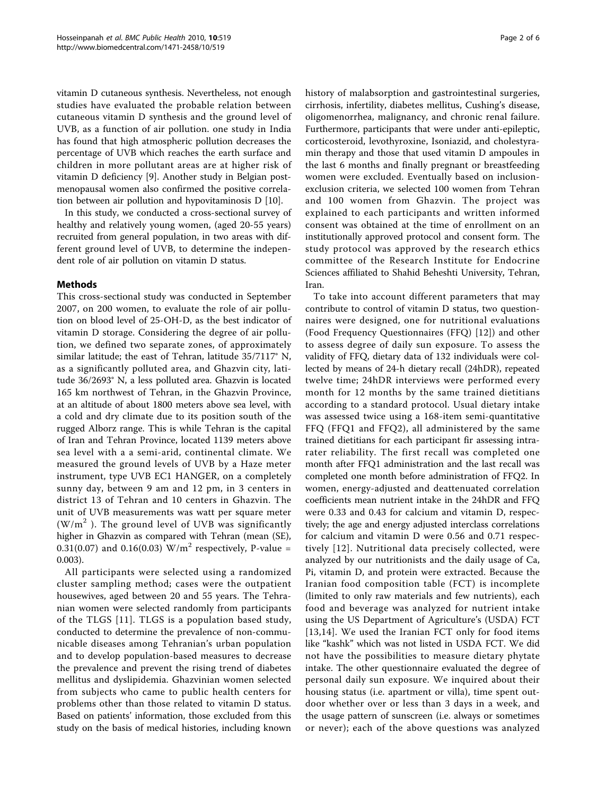vitamin D cutaneous synthesis. Nevertheless, not enough studies have evaluated the probable relation between cutaneous vitamin D synthesis and the ground level of UVB, as a function of air pollution. one study in India has found that high atmospheric pollution decreases the percentage of UVB which reaches the earth surface and children in more pollutant areas are at higher risk of vitamin D deficiency [[9\]](#page-4-0). Another study in Belgian postmenopausal women also confirmed the positive correlation between air pollution and hypovitaminosis D [\[10](#page-5-0)].

In this study, we conducted a cross-sectional survey of healthy and relatively young women, (aged 20-55 years) recruited from general population, in two areas with different ground level of UVB, to determine the independent role of air pollution on vitamin D status.

# Methods

This cross-sectional study was conducted in September 2007, on 200 women, to evaluate the role of air pollution on blood level of 25-OH-D, as the best indicator of vitamin D storage. Considering the degree of air pollution, we defined two separate zones, of approximately similar latitude; the east of Tehran, latitude 35/7117° N, as a significantly polluted area, and Ghazvin city, latitude 36/2693° N, a less polluted area. Ghazvin is located 165 km northwest of Tehran, in the Ghazvin Province, at an altitude of about 1800 meters above sea level, with a cold and dry climate due to its position south of the rugged Alborz range. This is while Tehran is the capital of Iran and Tehran Province, located 1139 meters above sea level with a a semi-arid, continental climate. We measured the ground levels of UVB by a Haze meter instrument, type UVB EC1 HANGER, on a completely sunny day, between 9 am and 12 pm, in 3 centers in district 13 of Tehran and 10 centers in Ghazvin. The unit of UVB measurements was watt per square meter  $(W/m<sup>2</sup>)$ . The ground level of UVB was significantly higher in Ghazvin as compared with Tehran (mean (SE), 0.31(0.07) and 0.16(0.03)  $W/m^2$  respectively, P-value = 0.003).

All participants were selected using a randomized cluster sampling method; cases were the outpatient housewives, aged between 20 and 55 years. The Tehranian women were selected randomly from participants of the TLGS [[11](#page-5-0)]. TLGS is a population based study, conducted to determine the prevalence of non-communicable diseases among Tehranian's urban population and to develop population-based measures to decrease the prevalence and prevent the rising trend of diabetes mellitus and dyslipidemia. Ghazvinian women selected from subjects who came to public health centers for problems other than those related to vitamin D status. Based on patients' information, those excluded from this study on the basis of medical histories, including known history of malabsorption and gastrointestinal surgeries, cirrhosis, infertility, diabetes mellitus, Cushing's disease, oligomenorrhea, malignancy, and chronic renal failure. Furthermore, participants that were under anti-epileptic, corticosteroid, levothyroxine, Isoniazid, and cholestyramin therapy and those that used vitamin D ampoules in the last 6 months and finally pregnant or breastfeeding women were excluded. Eventually based on inclusionexclusion criteria, we selected 100 women from Tehran and 100 women from Ghazvin. The project was explained to each participants and written informed consent was obtained at the time of enrollment on an institutionally approved protocol and consent form. The study protocol was approved by the research ethics committee of the Research Institute for Endocrine Sciences affiliated to Shahid Beheshti University, Tehran, Iran.

To take into account different parameters that may contribute to control of vitamin D status, two questionnaires were designed, one for nutritional evaluations (Food Frequency Questionnaires (FFQ) [[12\]](#page-5-0)) and other to assess degree of daily sun exposure. To assess the validity of FFQ, dietary data of 132 individuals were collected by means of 24-h dietary recall (24hDR), repeated twelve time; 24hDR interviews were performed every month for 12 months by the same trained dietitians according to a standard protocol. Usual dietary intake was assessed twice using a 168-item semi-quantitative FFQ (FFQ1 and FFQ2), all administered by the same trained dietitians for each participant fir assessing intrarater reliability. The first recall was completed one month after FFQ1 administration and the last recall was completed one month before administration of FFQ2. In women, energy-adjusted and deattenuated correlation coefficients mean nutrient intake in the 24hDR and FFQ were 0.33 and 0.43 for calcium and vitamin D, respectively; the age and energy adjusted interclass correlations for calcium and vitamin D were 0.56 and 0.71 respectively [[12](#page-5-0)]. Nutritional data precisely collected, were analyzed by our nutritionists and the daily usage of Ca, Pi, vitamin D, and protein were extracted. Because the Iranian food composition table (FCT) is incomplete (limited to only raw materials and few nutrients), each food and beverage was analyzed for nutrient intake using the US Department of Agriculture's (USDA) FCT [[13](#page-5-0),[14](#page-5-0)]. We used the Iranian FCT only for food items like "kashk" which was not listed in USDA FCT. We did not have the possibilities to measure dietary phytate intake. The other questionnaire evaluated the degree of personal daily sun exposure. We inquired about their housing status (i.e. apartment or villa), time spent outdoor whether over or less than 3 days in a week, and the usage pattern of sunscreen (i.e. always or sometimes or never); each of the above questions was analyzed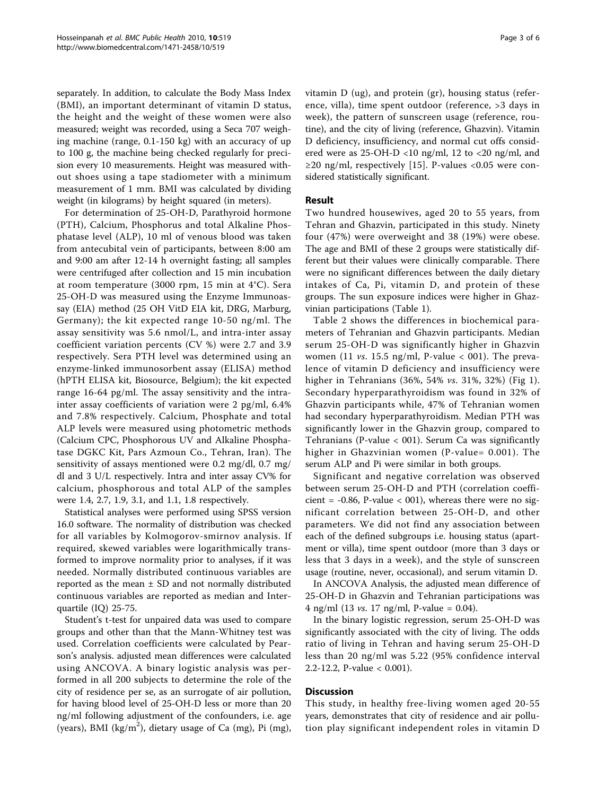separately. In addition, to calculate the Body Mass Index (BMI), an important determinant of vitamin D status, the height and the weight of these women were also measured; weight was recorded, using a Seca 707 weighing machine (range, 0.1-150 kg) with an accuracy of up to 100 g, the machine being checked regularly for precision every 10 measurements. Height was measured without shoes using a tape stadiometer with a minimum measurement of 1 mm. BMI was calculated by dividing weight (in kilograms) by height squared (in meters).

For determination of 25-OH-D, Parathyroid hormone (PTH), Calcium, Phosphorus and total Alkaline Phosphatase level (ALP), 10 ml of venous blood was taken from antecubital vein of participants, between 8:00 am and 9:00 am after 12-14 h overnight fasting; all samples were centrifuged after collection and 15 min incubation at room temperature (3000 rpm, 15 min at 4°C). Sera 25-OH-D was measured using the Enzyme Immunoassay (EIA) method (25 OH VitD EIA kit, DRG, Marburg, Germany); the kit expected range 10-50 ng/ml. The assay sensitivity was 5.6 nmol/L, and intra-inter assay coefficient variation percents (CV %) were 2.7 and 3.9 respectively. Sera PTH level was determined using an enzyme-linked immunosorbent assay (ELISA) method (hPTH ELISA kit, Biosource, Belgium); the kit expected range 16-64 pg/ml. The assay sensitivity and the intrainter assay coefficients of variation were 2 pg/ml, 6.4% and 7.8% respectively. Calcium, Phosphate and total ALP levels were measured using photometric methods (Calcium CPC, Phosphorous UV and Alkaline Phosphatase DGKC Kit, Pars Azmoun Co., Tehran, Iran). The sensitivity of assays mentioned were 0.2 mg/dl, 0.7 mg/ dl and 3 U/L respectively. Intra and inter assay CV% for calcium, phosphorous and total ALP of the samples were 1.4, 2.7, 1.9, 3.1, and 1.1, 1.8 respectively.

Statistical analyses were performed using SPSS version 16.0 software. The normality of distribution was checked for all variables by Kolmogorov-smirnov analysis. If required, skewed variables were logarithmically transformed to improve normality prior to analyses, if it was needed. Normally distributed continuous variables are reported as the mean ± SD and not normally distributed continuous variables are reported as median and Interquartile (IQ) 25-75.

Student's t-test for unpaired data was used to compare groups and other than that the Mann-Whitney test was used. Correlation coefficients were calculated by Pearson's analysis. adjusted mean differences were calculated using ANCOVA. A binary logistic analysis was performed in all 200 subjects to determine the role of the city of residence per se, as an surrogate of air pollution, for having blood level of 25-OH-D less or more than 20 ng/ml following adjustment of the confounders, i.e. age (years), BMI ( $\text{kg/m}^2$ ), dietary usage of Ca (mg), Pi (mg),

vitamin D (ug), and protein (gr), housing status (reference, villa), time spent outdoor (reference, >3 days in week), the pattern of sunscreen usage (reference, routine), and the city of living (reference, Ghazvin). Vitamin D deficiency, insufficiency, and normal cut offs considered were as  $25$ -OH-D <10 ng/ml, 12 to <20 ng/ml, and  $\geq$ 20 ng/ml, respectively [\[15\]](#page-5-0). P-values <0.05 were considered statistically significant.

# Result

Two hundred housewives, aged 20 to 55 years, from Tehran and Ghazvin, participated in this study. Ninety four (47%) were overweight and 38 (19%) were obese. The age and BMI of these 2 groups were statistically different but their values were clinically comparable. There were no significant differences between the daily dietary intakes of Ca, Pi, vitamin D, and protein of these groups. The sun exposure indices were higher in Ghazvinian participations (Table [1](#page-3-0)).

Table [2](#page-3-0) shows the differences in biochemical parameters of Tehranian and Ghazvin participants. Median serum 25-OH-D was significantly higher in Ghazvin women (11 *vs.* 15.5 ng/ml, P-value  $<$  001). The prevalence of vitamin D deficiency and insufficiency were higher in Tehranians (36%, 54% vs. 31%, 32%) (Fig [1](#page-3-0)). Secondary hyperparathyroidism was found in 32% of Ghazvin participants while, 47% of Tehranian women had secondary hyperparathyroidism. Median PTH was significantly lower in the Ghazvin group, compared to Tehranians (P-value < 001). Serum Ca was significantly higher in Ghazvinian women (P-value= 0.001). The serum ALP and Pi were similar in both groups.

Significant and negative correlation was observed between serum 25-OH-D and PTH (correlation coefficient =  $-0.86$ , P-value < 001), whereas there were no significant correlation between 25-OH-D, and other parameters. We did not find any association between each of the defined subgroups i.e. housing status (apartment or villa), time spent outdoor (more than 3 days or less that 3 days in a week), and the style of sunscreen usage (routine, never, occasional), and serum vitamin D.

In ANCOVA Analysis, the adjusted mean difference of 25-OH-D in Ghazvin and Tehranian participations was 4 ng/ml (13 *vs.* 17 ng/ml, P-value = 0.04).

In the binary logistic regression, serum 25-OH-D was significantly associated with the city of living. The odds ratio of living in Tehran and having serum 25-OH-D less than 20 ng/ml was 5.22 (95% confidence interval 2.2-12.2, P-value < 0.001).

# **Discussion**

This study, in healthy free-living women aged 20-55 years, demonstrates that city of residence and air pollution play significant independent roles in vitamin D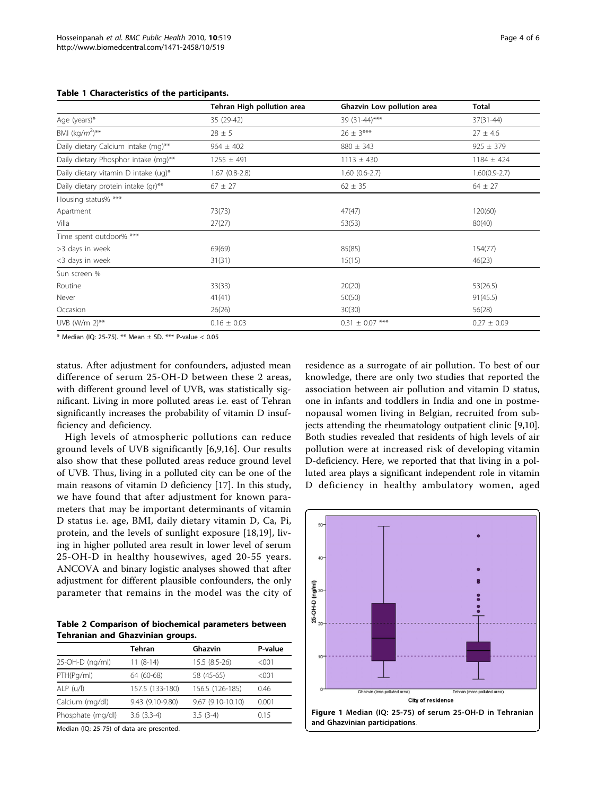<span id="page-3-0"></span>

|                                      | Tehran High pollution area | Ghazvin Low pollution area | <b>Total</b>    |
|--------------------------------------|----------------------------|----------------------------|-----------------|
| Age (years) $*$                      | 35 (29-42)                 | 39 (31-44)***              | $37(31 - 44)$   |
| BMI $(kq/m^2)$ **                    | $28 + 5$                   | $26 + 3***$                | $27 + 4.6$      |
| Daily dietary Calcium intake (mg)**  | $964 + 402$                | $880 + 343$                | $925 + 379$     |
| Daily dietary Phosphor intake (mg)** | $1255 + 491$               | $1113 + 430$               | $1184 + 424$    |
| Daily dietary vitamin D intake (ug)* | (0.8-2.8) 67.              | $1.60(0.6-2.7)$            | $1.60(0.9-2.7)$ |
| Daily dietary protein intake (gr)**  | $67 \pm 27$                | $62 \pm 35$                | $64 \pm 27$     |
| Housing status% ***                  |                            |                            |                 |

Apartment 120(60) 120(60) 13(73) 13(73) 13(73) 13(73) 13(747) 13(747) 13(747) 13(747) 13(75) 13(760) 13(760) 1 Villa 27(27) 53(53) 80(40)

 $>3$  days in week 69(69) 69(69) 85(85) 85(85) 85(85) 85(85) 85(85) <3 days in week 31(31) 15(15) 46(23)

Routine 33(26.5) 33(33) 33(33) 33(33) 33(35) 33(20) 33(35) 33(35) 33(36.5) Never 30 and 31 and 41(41) 41(41) 50(50) 50(50) 50(50) 91(45.5) Occasion 26(26) 30(30) 56(28) UVB (W/m 2)\*\* 0.16 ± 0.03 0.31 ± 0.07 \*\*\* 0.27 ± 0.09

Table 1 C

Time spent outdoor% \*\*\*

Sun screen %

\* Median (IQ: 25-75). \*\* Mean ± SD. \*\*\* P-value < 0.05

status. After adjustment for confounders, adjusted mean difference of serum 25-OH-D between these 2 areas, with different ground level of UVB, was statistically significant. Living in more polluted areas i.e. east of Tehran significantly increases the probability of vitamin D insufficiency and deficiency.

High levels of atmospheric pollutions can reduce ground levels of UVB significantly [[6,9](#page-4-0),[16\]](#page-5-0). Our results also show that these polluted areas reduce ground level of UVB. Thus, living in a polluted city can be one of the main reasons of vitamin D deficiency [[17\]](#page-5-0). In this study, we have found that after adjustment for known parameters that may be important determinants of vitamin D status i.e. age, BMI, daily dietary vitamin D, Ca, Pi, protein, and the levels of sunlight exposure [[18,19](#page-5-0)], living in higher polluted area result in lower level of serum 25-OH-D in healthy housewives, aged 20-55 years. ANCOVA and binary logistic analyses showed that after adjustment for different plausible confounders, the only parameter that remains in the model was the city of

Table 2 Comparison of biochemical parameters between Tehranian and Ghazvinian groups.

|                   | Tehran           | Ghazvin           | P-value |
|-------------------|------------------|-------------------|---------|
| 25-OH-D (ng/ml)   | $11(8-14)$       | 15.5 (8.5-26)     | $<$ 001 |
| PTH(Pg/ml)        | 64 (60-68)       | 58 (45-65)        | <001    |
| ALP (u/l)         | 157.5 (133-180)  | 156.5 (126-185)   | 0.46    |
| Calcium (mg/dl)   | 9.43 (9.10-9.80) | 9.67 (9.10-10.10) | 0.001   |
| Phosphate (mg/dl) | $3.6(3.3-4)$     | $3.5(3-4)$        | 0.15    |

Median (IQ: 25-75) of data are presented.

residence as a surrogate of air pollution. To best of our knowledge, there are only two studies that reported the association between air pollution and vitamin D status, one in infants and toddlers in India and one in postmenopausal women living in Belgian, recruited from subjects attending the rheumatology outpatient clinic [\[9](#page-4-0),[10](#page-5-0)]. Both studies revealed that residents of high levels of air pollution were at increased risk of developing vitamin D-deficiency. Here, we reported that that living in a polluted area plays a significant independent role in vitamin D deficiency in healthy ambulatory women, aged

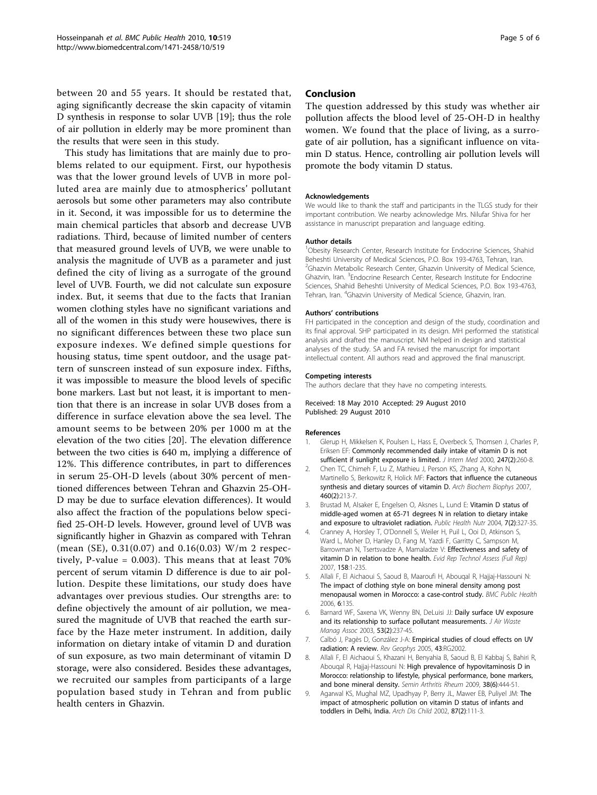<span id="page-4-0"></span>between 20 and 55 years. It should be restated that, aging significantly decrease the skin capacity of vitamin D synthesis in response to solar UVB [[19\]](#page-5-0); thus the role of air pollution in elderly may be more prominent than the results that were seen in this study.

This study has limitations that are mainly due to problems related to our equipment. First, our hypothesis was that the lower ground levels of UVB in more polluted area are mainly due to atmospherics' pollutant aerosols but some other parameters may also contribute in it. Second, it was impossible for us to determine the main chemical particles that absorb and decrease UVB radiations. Third, because of limited number of centers that measured ground levels of UVB, we were unable to analysis the magnitude of UVB as a parameter and just defined the city of living as a surrogate of the ground level of UVB. Fourth, we did not calculate sun exposure index. But, it seems that due to the facts that Iranian women clothing styles have no significant variations and all of the women in this study were housewives, there is no significant differences between these two place sun exposure indexes. We defined simple questions for housing status, time spent outdoor, and the usage pattern of sunscreen instead of sun exposure index. Fifths, it was impossible to measure the blood levels of specific bone markers. Last but not least, it is important to mention that there is an increase in solar UVB doses from a difference in surface elevation above the sea level. The amount seems to be between 20% per 1000 m at the elevation of the two cities [\[20](#page-5-0)]. The elevation difference between the two cities is 640 m, implying a difference of 12%. This difference contributes, in part to differences in serum 25-OH-D levels (about 30% percent of mentioned differences between Tehran and Ghazvin 25-OH-D may be due to surface elevation differences). It would also affect the fraction of the populations below specified 25-OH-D levels. However, ground level of UVB was significantly higher in Ghazvin as compared with Tehran (mean (SE), 0.31(0.07) and 0.16(0.03) W/m 2 respectively, P-value = 0.003). This means that at least 70% percent of serum vitamin D difference is due to air pollution. Despite these limitations, our study does have advantages over previous studies. Our strengths are: to define objectively the amount of air pollution, we measured the magnitude of UVB that reached the earth surface by the Haze meter instrument. In addition, daily information on dietary intake of vitamin D and duration of sun exposure, as two main determinant of vitamin D storage, were also considered. Besides these advantages, we recruited our samples from participants of a large population based study in Tehran and from public health centers in Ghazvin.

## Conclusion

The question addressed by this study was whether air pollution affects the blood level of 25-OH-D in healthy women. We found that the place of living, as a surrogate of air pollution, has a significant influence on vitamin D status. Hence, controlling air pollution levels will promote the body vitamin D status.

#### Acknowledgements

We would like to thank the staff and participants in the TLGS study for their important contribution. We nearby acknowledge Mrs. Nilufar Shiva for her assistance in manuscript preparation and language editing.

#### Author details

<sup>1</sup>Obesity Research Center, Research Institute for Endocrine Sciences, Shahid Beheshti University of Medical Sciences, P.O. Box 193-4763, Tehran, Iran. <sup>2</sup>Ghazvin Metabolic Research Center, Ghazvin University of Medical Science, Ghazvin, Iran. <sup>3</sup>Endocrine Research Center, Research Institute for Endocrine Sciences, Shahid Beheshti University of Medical Sciences, P.O. Box 193-4763, Tehran, Iran. <sup>4</sup>Ghazvin University of Medical Science, Ghazvin, Iran.

#### Authors' contributions

FH participated in the conception and design of the study, coordination and its final approval. SHP participated in its design. MH performed the statistical analysis and drafted the manuscript. NM helped in design and statistical analyses of the study. SA and FA revised the manuscript for important intellectual content. All authors read and approved the final manuscript.

#### Competing interests

The authors declare that they have no competing interests.

Received: 18 May 2010 Accepted: 29 August 2010 Published: 29 August 2010

#### References

- Glerup H, Mikkelsen K, Poulsen L, Hass E, Overbeck S, Thomsen J, Charles P, Eriksen EF: [Commonly recommended daily intake of vitamin D is not](http://www.ncbi.nlm.nih.gov/pubmed/10692090?dopt=Abstract) [sufficient if sunlight exposure is limited.](http://www.ncbi.nlm.nih.gov/pubmed/10692090?dopt=Abstract) J Intern Med 2000, 247(2):260-8.
- 2. Chen TC, Chimeh F, Lu Z, Mathieu J, Person KS, Zhang A, Kohn N, Martinello S, Berkowitz R, Holick MF: [Factors that influence the cutaneous](http://www.ncbi.nlm.nih.gov/pubmed/17254541?dopt=Abstract) [synthesis and dietary sources of vitamin D.](http://www.ncbi.nlm.nih.gov/pubmed/17254541?dopt=Abstract) Arch Biochem Biophys 2007, 460(2):213-7.
- 3. Brustad M, Alsaker E, Engelsen O, Aksnes L, Lund E: [Vitamin D status of](http://www.ncbi.nlm.nih.gov/pubmed/15003141?dopt=Abstract) [middle-aged women at 65-71 degrees N in relation to dietary intake](http://www.ncbi.nlm.nih.gov/pubmed/15003141?dopt=Abstract) [and exposure to ultraviolet radiation.](http://www.ncbi.nlm.nih.gov/pubmed/15003141?dopt=Abstract) Public Health Nutr 2004, 7(2):327-35.
- 4. Cranney A, Horsley T, O'Donnell S, Weiler H, Puil L, Ooi D, Atkinson S, Ward L, Moher D, Hanley D, Fang M, Yazdi F, Garritty C, Sampson M, Barrowman N, Tsertsvadze A, Mamaladze V: [Effectiveness and safety of](http://www.ncbi.nlm.nih.gov/pubmed/18088161?dopt=Abstract) [vitamin D in relation to bone health.](http://www.ncbi.nlm.nih.gov/pubmed/18088161?dopt=Abstract) Evid Rep Technol Assess (Full Rep) 2007, 158:1-235.
- 5. Allali F, El Aichaoui S, Saoud B, Maaroufi H, Abouqal R, Hajjaj-Hassouni N: [The impact of clothing style on bone mineral density among post](http://www.ncbi.nlm.nih.gov/pubmed/16712731?dopt=Abstract) [menopausal women in Morocco: a case-control study.](http://www.ncbi.nlm.nih.gov/pubmed/16712731?dopt=Abstract) BMC Public Health 2006, 6:135.
- 6. Barnard WF, Saxena VK, Wenny BN, DeLuisi JJ: [Daily surface UV exposure](http://www.ncbi.nlm.nih.gov/pubmed/12617297?dopt=Abstract) [and its relationship to surface pollutant measurements.](http://www.ncbi.nlm.nih.gov/pubmed/12617297?dopt=Abstract) J Air Waste Manag Assoc 2003, 53(2):237-45.
- 7. Calbó J, Pagès D, González J-A: Empirical studies of cloud effects on UV radiation: A review. Rev Geophys 2005, 43:RG2002.
- 8. Allali F, El Aichaoui S, Khazani H, Benyahia B, Saoud B, El Kabbaj S, Bahiri R, Abouqal R, Hajjaj-Hassouni N: [High prevalence of hypovitaminosis D in](http://www.ncbi.nlm.nih.gov/pubmed/18336870?dopt=Abstract) [Morocco: relationship to lifestyle, physical performance, bone markers,](http://www.ncbi.nlm.nih.gov/pubmed/18336870?dopt=Abstract) [and bone mineral density.](http://www.ncbi.nlm.nih.gov/pubmed/18336870?dopt=Abstract) Semin Arthritis Rheum 2009, 38(6):444-51.
- 9. Agarwal KS, Mughal MZ, Upadhyay P, Berry JL, Mawer EB, Puliyel JM: [The](http://www.ncbi.nlm.nih.gov/pubmed/12138058?dopt=Abstract) [impact of atmospheric pollution on vitamin D status of infants and](http://www.ncbi.nlm.nih.gov/pubmed/12138058?dopt=Abstract) [toddlers in Delhi, India.](http://www.ncbi.nlm.nih.gov/pubmed/12138058?dopt=Abstract) Arch Dis Child 2002, 87(2):111-3.